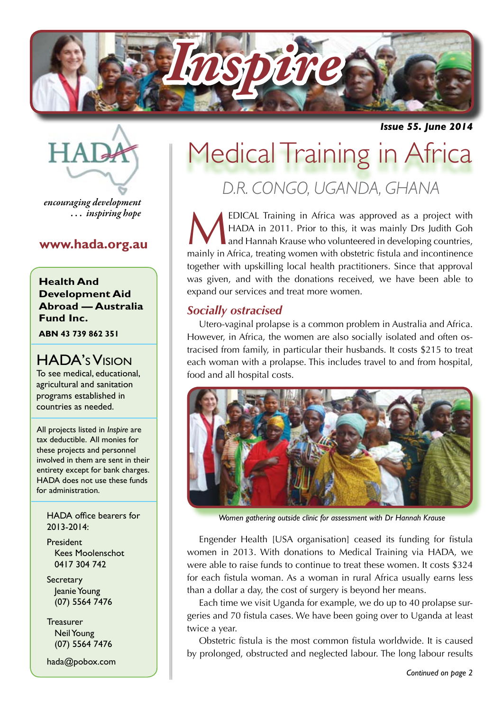

*Issue 55. June 2014*

**HAR** 

*encouraging development . . . inspiring hope*

# **www.hada.org.au**

**Health And Development Aid Abroad — Australia Fund Inc.**

**ABN 43 739 862 351**

# HADA's Vision

To see medical, educational, agricultural and sanitation programs established in countries as needed.

All projects listed in *Inspire* are tax deductible. All monies for these projects and personnel involved in them are sent in their entirety except for bank charges. HADA does not use these funds for administration.

HADA office bearers for 2013-2014:

President Kees Moolenschot 0417 304 742

**Secretary**  Jeanie Young (07) 5564 7476

Treasurer Neil Young (07) 5564 7476

hada@pobox.com

# Medical Training in Africa

*D.R. CONGO, UGANDA, GHANA*

EDICAL Training in Africa was approved as a project with<br>HADA in 2011. Prior to this, it was mainly Drs Judith Goh<br>and Hannah Krause who volunteered in developing countries,<br>mainly in Africa, treating women with obstatric HADA in 2011. Prior to this, it was mainly Drs Judith Goh and Hannah Krause who volunteered in developing countries, mainly in Africa, treating women with obstetric fistula and incontinence together with upskilling local health practitioners. Since that approval was given, and with the donations received, we have been able to expand our services and treat more women.

# *Socially ostracised*

Utero-vaginal prolapse is a common problem in Australia and Africa. However, in Africa, the women are also socially isolated and often ostracised from family, in particular their husbands. It costs \$215 to treat each woman with a prolapse. This includes travel to and from hospital, food and all hospital costs.



*Women gathering outside clinic for assessment with Dr Hannah Krause*

Engender Health [USA organisation] ceased its funding for fistula women in 2013. With donations to Medical Training via HADA, we were able to raise funds to continue to treat these women. It costs \$324 for each fistula woman. As a woman in rural Africa usually earns less than a dollar a day, the cost of surgery is beyond her means.

Each time we visit Uganda for example, we do up to 40 prolapse surgeries and 70 fistula cases. We have been going over to Uganda at least twice a year.

Obstetric fistula is the most common fistula worldwide. It is caused by prolonged, obstructed and neglected labour. The long labour results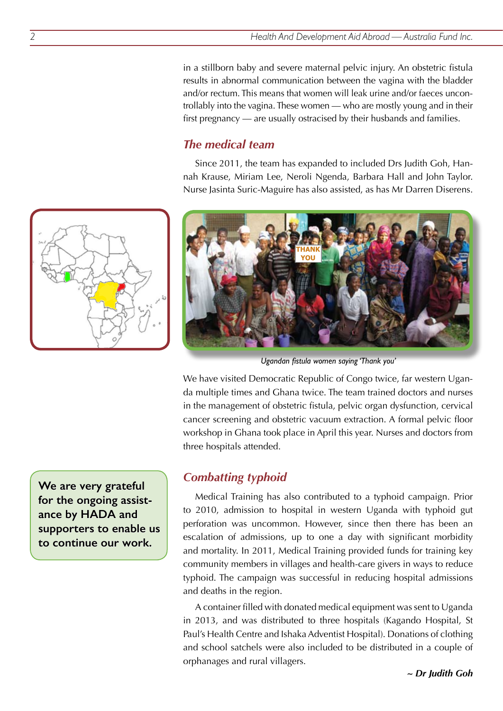in a stillborn baby and severe maternal pelvic injury. An obstetric fistula results in abnormal communication between the vagina with the bladder and/or rectum. This means that women will leak urine and/or faeces uncontrollably into the vagina. These women — who are mostly young and in their first pregnancy — are usually ostracised by their husbands and families.

# *The medical team*

Since 2011, the team has expanded to included Drs Judith Goh, Hannah Krause, Miriam Lee, Neroli Ngenda, Barbara Hall and John Taylor. Nurse Jasinta Suric-Maguire has also assisted, as has Mr Darren Diserens.



*Ugandan fistula women saying 'Thank you'*

We have visited Democratic Republic of Congo twice, far western Uganda multiple times and Ghana twice. The team trained doctors and nurses in the management of obstetric fistula, pelvic organ dysfunction, cervical cancer screening and obstetric vacuum extraction. A formal pelvic floor workshop in Ghana took place in April this year. Nurses and doctors from three hospitals attended.

**We are very grateful for the ongoing assistance by HADA and supporters to enable us to continue our work.**

# *Combatting typhoid*

Medical Training has also contributed to a typhoid campaign. Prior to 2010, admission to hospital in western Uganda with typhoid gut perforation was uncommon. However, since then there has been an escalation of admissions, up to one a day with significant morbidity and mortality. In 2011, Medical Training provided funds for training key community members in villages and health-care givers in ways to reduce typhoid. The campaign was successful in reducing hospital admissions and deaths in the region.

A container filled with donated medical equipment was sent to Uganda in 2013, and was distributed to three hospitals (Kagando Hospital, St Paul's Health Centre and Ishaka Adventist Hospital). Donations of clothing and school satchels were also included to be distributed in a couple of orphanages and rural villagers.

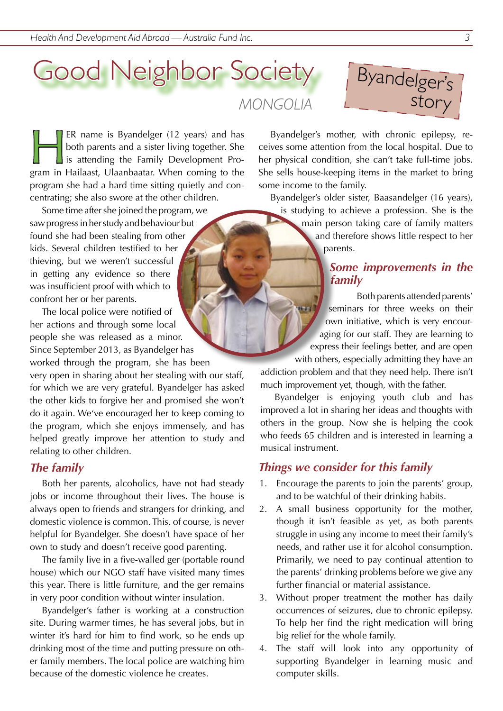# Good Neighbor Society

*MONGOLIA*



ER name is Byandelger (12 years) and has both parents and a sister living together. She  $\Box$  is attending the Family Development Program in Hailaast, Ulaanbaatar. When coming to the program she had a hard time sitting quietly and concentrating; she also swore at the other children.

Some time after she joined the program, we saw progress in her study and behaviour but found she had been stealing from other kids. Several children testified to her thieving, but we weren't successful in getting any evidence so there was insufficient proof with which to confront her or her parents.

The local police were notified of her actions and through some local people she was released as a minor. Since September 2013, as Byandelger has worked through the program, she has been

very open in sharing about her stealing with our staff, for which we are very grateful. Byandelger has asked the other kids to forgive her and promised she won't do it again. We've encouraged her to keep coming to the program, which she enjoys immensely, and has helped greatly improve her attention to study and relating to other children.

#### *The family*

Both her parents, alcoholics, have not had steady jobs or income throughout their lives. The house is always open to friends and strangers for drinking, and domestic violence is common. This, of course, is never helpful for Byandelger. She doesn't have space of her own to study and doesn't receive good parenting.

The family live in a five-walled ger (portable round house) which our NGO staff have visited many times this year. There is little furniture, and the ger remains in very poor condition without winter insulation.

Byandelger's father is working at a construction site. During warmer times, he has several jobs, but in winter it's hard for him to find work, so he ends up drinking most of the time and putting pressure on other family members. The local police are watching him because of the domestic violence he creates.

Byandelger's mother, with chronic epilepsy, receives some attention from the local hospital. Due to her physical condition, she can't take full-time jobs. She sells house-keeping items in the market to bring some income to the family.

Byandelger's older sister, Baasandelger (16 years), is studying to achieve a profession. She is the main person taking care of family matters and therefore shows little respect to her parents.

## *Some improvements in the family*

Both parents attended parents' seminars for three weeks on their own initiative, which is very encouraging for our staff. They are learning to express their feelings better, and are open with others, especially admitting they have an

addiction problem and that they need help. There isn't much improvement yet, though, with the father.

Byandelger is enjoying youth club and has improved a lot in sharing her ideas and thoughts with others in the group. Now she is helping the cook who feeds 65 children and is interested in learning a musical instrument.

# *Things we consider for this family*

- 1. Encourage the parents to join the parents' group, and to be watchful of their drinking habits.
- 2. A small business opportunity for the mother, though it isn't feasible as yet, as both parents struggle in using any income to meet their family's needs, and rather use it for alcohol consumption. Primarily, we need to pay continual attention to the parents' drinking problems before we give any further financial or material assistance.
- 3. Without proper treatment the mother has daily occurrences of seizures, due to chronic epilepsy. To help her find the right medication will bring big relief for the whole family.
- 4. The staff will look into any opportunity of supporting Byandelger in learning music and computer skills.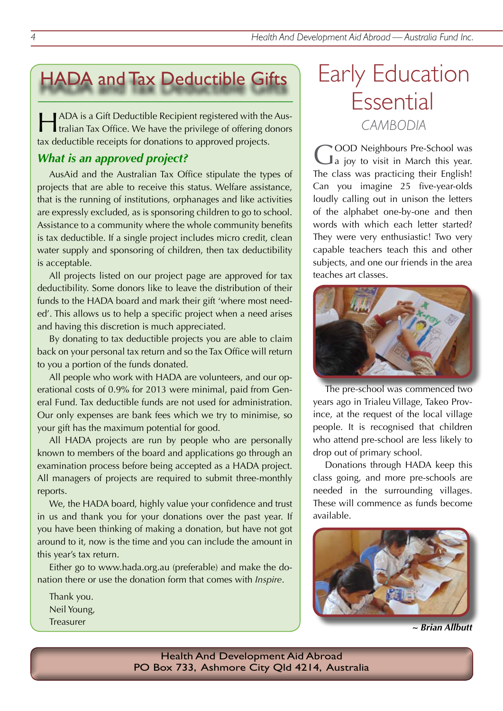# HADA and Tax Deductible Gifts Early Education

HADA is a Gift Deductible Recipient registered with the Aus-tralian Tax Office. We have the privilege of offering donors tax deductible receipts for donations to approved projects.

# *What is an approved project?*

AusAid and the Australian Tax Office stipulate the types of projects that are able to receive this status. Welfare assistance, that is the running of institutions, orphanages and like activities are expressly excluded, as is sponsoring children to go to school. Assistance to a community where the whole community benefits is tax deductible. If a single project includes micro credit, clean water supply and sponsoring of children, then tax deductibility is acceptable.

All projects listed on our project page are approved for tax deductibility. Some donors like to leave the distribution of their funds to the HADA board and mark their gift 'where most needed'. This allows us to help a specific project when a need arises and having this discretion is much appreciated.

By donating to tax deductible projects you are able to claim back on your personal tax return and so the Tax Office will return to you a portion of the funds donated.

All people who work with HADA are volunteers, and our operational costs of 0.9% for 2013 were minimal, paid from General Fund. Tax deductible funds are not used for administration. Our only expenses are bank fees which we try to minimise, so your gift has the maximum potential for good.

All HADA projects are run by people who are personally known to members of the board and applications go through an examination process before being accepted as a HADA project. All managers of projects are required to submit three-monthly reports.

We, the HADA board, highly value your confidence and trust in us and thank you for your donations over the past year. If you have been thinking of making a donation, but have not got around to it, now is the time and you can include the amount in this year's tax return.

Either go to www.hada.org.au (preferable) and make the donation there or use the donation form that comes with *Inspire*.

Thank you. Neil Young, Treasurer

# Essential *CAMBODIA*

GOOD Neighbours Pre-School was<br>
a joy to visit in March this year. The class was practicing their English! Can you imagine 25 five-year-olds loudly calling out in unison the letters of the alphabet one-by-one and then words with which each letter started? They were very enthusiastic! Two very capable teachers teach this and other subjects, and one our friends in the area teaches art classes.



The pre-school was commenced two years ago in Trialeu Village, Takeo Province, at the request of the local village people. It is recognised that children who attend pre-school are less likely to drop out of primary school.

Donations through HADA keep this class going, and more pre-schools are needed in the surrounding villages. These will commence as funds become available.



*~ Brian Allbutt*

Health And Development Aid Abroad PO Box 733, Ashmore City Qld 4214, Australia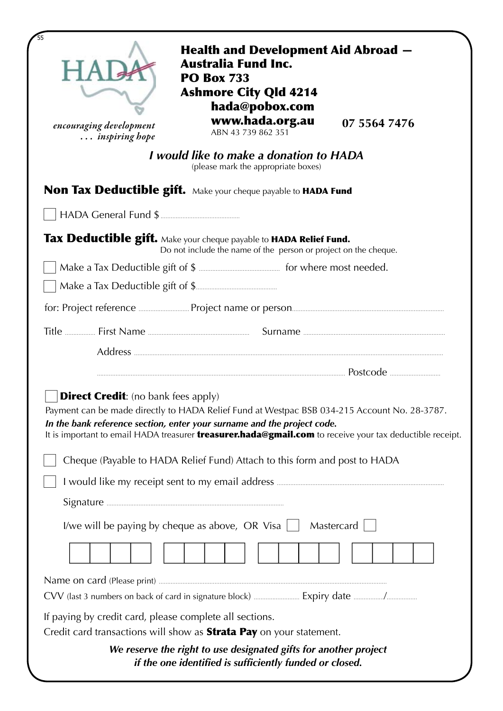| encouraging development<br>inspiring hope               | <b>Health and Development Aid Abroad –</b><br><b>Australia Fund Inc.</b><br><b>PO Box 733</b><br><b>Ashmore City Qld 4214</b><br>hada@pobox.com<br>www.hada.org.au<br>ABN 43 739 862 351     | 07 5564 7476 |
|---------------------------------------------------------|----------------------------------------------------------------------------------------------------------------------------------------------------------------------------------------------|--------------|
|                                                         | I would like to make a donation to HADA<br>(please mark the appropriate boxes)                                                                                                               |              |
|                                                         | <b>Non Tax Deductible gift.</b> Make your cheque payable to HADA Fund                                                                                                                        |              |
|                                                         |                                                                                                                                                                                              |              |
|                                                         | Tax Deductible gift. Make your cheque payable to HADA Relief Fund.<br>Do not include the name of the person or project on the cheque.                                                        |              |
|                                                         |                                                                                                                                                                                              |              |
|                                                         |                                                                                                                                                                                              |              |
|                                                         |                                                                                                                                                                                              |              |
|                                                         |                                                                                                                                                                                              |              |
|                                                         |                                                                                                                                                                                              |              |
|                                                         |                                                                                                                                                                                              | Postcode     |
| <b>Direct Credit:</b> (no bank fees apply)              | Payment can be made directly to HADA Relief Fund at Westpac BSB 034-215 Account No. 28-3787.<br>In the bank reference section, enter your surname and the project code.                      |              |
|                                                         | It is important to email HADA treasurer <b>treasurer.hada@gmail.com</b> to receive your tax deductible receipt.<br>Cheque (Payable to HADA Relief Fund) Attach to this form and post to HADA |              |
|                                                         |                                                                                                                                                                                              |              |
|                                                         | I/we will be paying by cheque as above, OR Visa $\vert \vert$                                                                                                                                | Mastercard   |
|                                                         |                                                                                                                                                                                              |              |
| If paying by credit card, please complete all sections. | Credit card transactions will show as <b>Strata Pay</b> on your statement.                                                                                                                   |              |